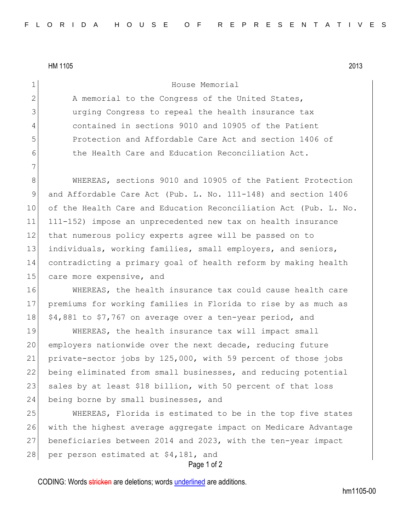HM 1105 2013

7

## 1 House Memorial

2 A memorial to the Congress of the United States, 3 urging Congress to repeal the health insurance tax 4 contained in sections 9010 and 10905 of the Patient 5 Protection and Affordable Care Act and section 1406 of 6 6 the Health Care and Education Reconciliation Act.

8 WHEREAS, sections 9010 and 10905 of the Patient Protection and Affordable Care Act (Pub. L. No. 111-148) and section 1406 of the Health Care and Education Reconciliation Act (Pub. L. No. 111-152) impose an unprecedented new tax on health insurance 12 that numerous policy experts agree will be passed on to individuals, working families, small employers, and seniors, contradicting a primary goal of health reform by making health 15 care more expensive, and

16 WHEREAS, the health insurance tax could cause health care 17 premiums for working families in Florida to rise by as much as 18 \$4,881 to \$7,767 on average over a ten-year period, and

 WHEREAS, the health insurance tax will impact small employers nationwide over the next decade, reducing future private-sector jobs by 125,000, with 59 percent of those jobs being eliminated from small businesses, and reducing potential 23 sales by at least \$18 billion, with 50 percent of that loss 24 being borne by small businesses, and

 WHEREAS, Florida is estimated to be in the top five states with the highest average aggregate impact on Medicare Advantage beneficiaries between 2014 and 2023, with the ten-year impact 28 per person estimated at \$4,181, and

Page 1 of 2

CODING: Words stricken are deletions; words underlined are additions.

hm1105-00